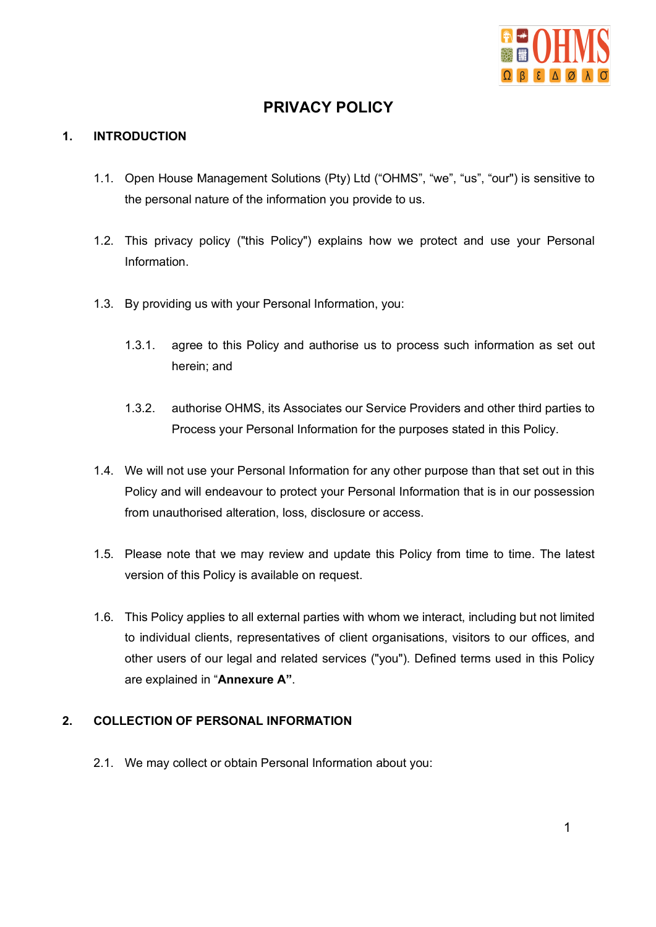

# **PRIVACY POLICY**

## **1. INTRODUCTION**

- 1.1. Open House Management Solutions (Pty) Ltd ("OHMS", "we", "us", "our") is sensitive to the personal nature of the information you provide to us.
- 1.2. This privacy policy ("this Policy") explains how we protect and use your Personal Information.
- 1.3. By providing us with your Personal Information, you:
	- 1.3.1. agree to this Policy and authorise us to process such information as set out herein; and
	- 1.3.2. authorise OHMS, its Associates our Service Providers and other third parties to Process your Personal Information for the purposes stated in this Policy.
- 1.4. We will not use your Personal Information for any other purpose than that set out in this Policy and will endeavour to protect your Personal Information that is in our possession from unauthorised alteration, loss, disclosure or access.
- 1.5. Please note that we may review and update this Policy from time to time. The latest version of this Policy is available on request.
- 1.6. This Policy applies to all external parties with whom we interact, including but not limited to individual clients, representatives of client organisations, visitors to our offices, and other users of our legal and related services ("you"). Defined terms used in this Policy are explained in "**Annexure A"**.

#### **2. COLLECTION OF PERSONAL INFORMATION**

2.1. We may collect or obtain Personal Information about you: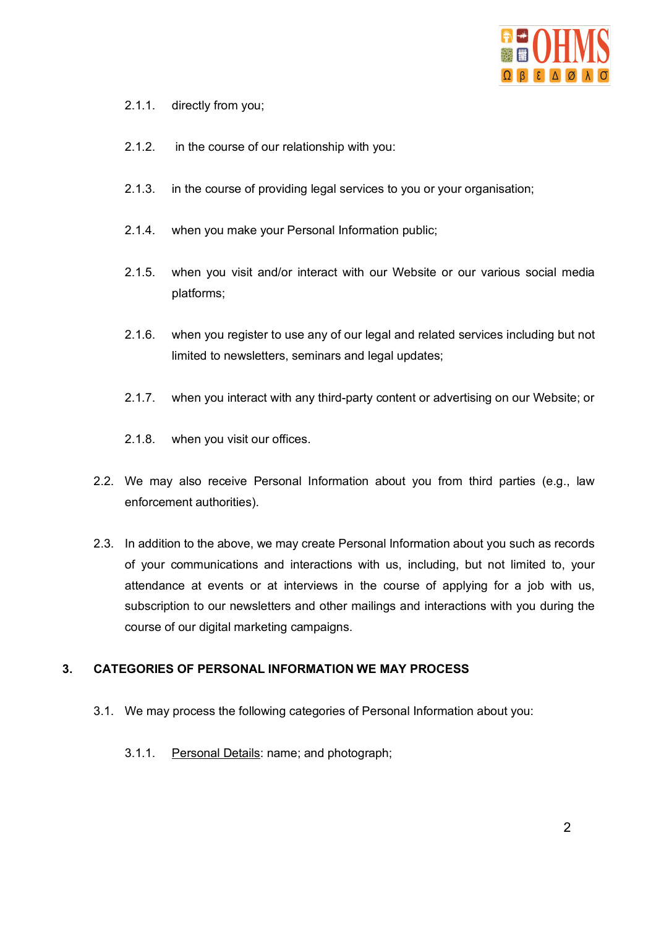

- 2.1.1. directly from you;
- 2.1.2. in the course of our relationship with you:
- 2.1.3. in the course of providing legal services to you or your organisation;
- 2.1.4. when you make your Personal Information public;
- 2.1.5. when you visit and/or interact with our Website or our various social media platforms;
- 2.1.6. when you register to use any of our legal and related services including but not limited to newsletters, seminars and legal updates;
- 2.1.7. when you interact with any third-party content or advertising on our Website; or
- 2.1.8. when you visit our offices.
- 2.2. We may also receive Personal Information about you from third parties (e.g., law enforcement authorities).
- 2.3. In addition to the above, we may create Personal Information about you such as records of your communications and interactions with us, including, but not limited to, your attendance at events or at interviews in the course of applying for a job with us, subscription to our newsletters and other mailings and interactions with you during the course of our digital marketing campaigns.

#### **3. CATEGORIES OF PERSONAL INFORMATION WE MAY PROCESS**

- 3.1. We may process the following categories of Personal Information about you:
	- 3.1.1. Personal Details: name; and photograph;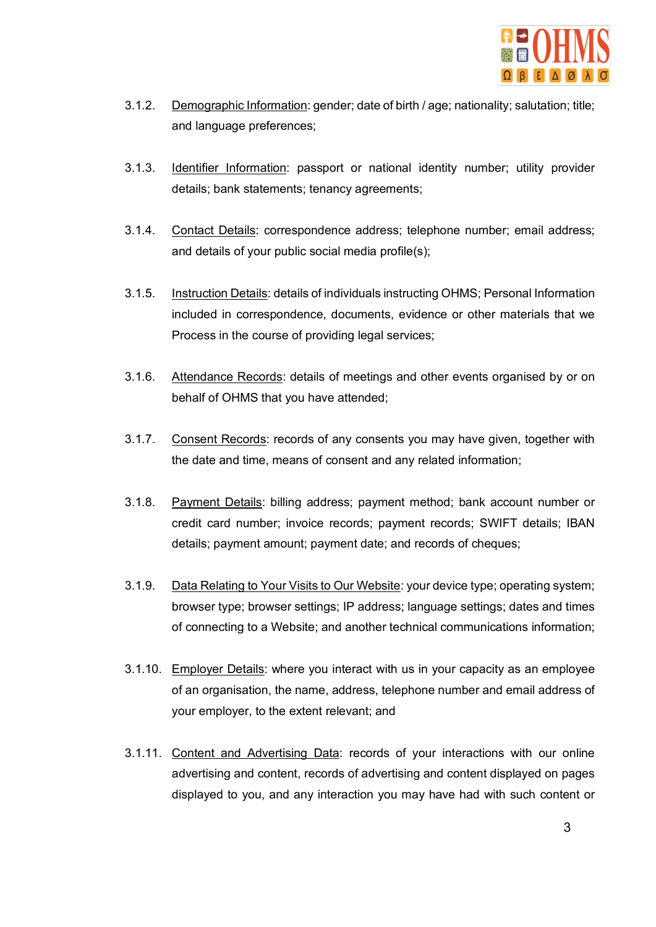

- 3.1.2. Demographic Information: gender; date of birth / age; nationality; salutation; title; and language preferences;
- 3.1.3. Identifier Information: passport or national identity number; utility provider details; bank statements; tenancy agreements;
- 3.1.4. Contact Details: correspondence address; telephone number; email address; and details of your public social media profile(s);
- 3.1.5. Instruction Details: details of individuals instructing OHMS; Personal Information included in correspondence, documents, evidence or other materials that we Process in the course of providing legal services;
- 3.1.6. Attendance Records: details of meetings and other events organised by or on behalf of OHMS that you have attended;
- 3.1.7. Consent Records: records of any consents you may have given, together with the date and time, means of consent and any related information;
- 3.1.8. Payment Details: billing address; payment method; bank account number or credit card number; invoice records; payment records; SWIFT details; IBAN details; payment amount; payment date; and records of cheques;
- 3.1.9. Data Relating to Your Visits to Our Website: your device type; operating system; browser type; browser settings; IP address; language settings; dates and times of connecting to a Website; and another technical communications information;
- 3.1.10. Employer Details: where you interact with us in your capacity as an employee of an organisation, the name, address, telephone number and email address of your employer, to the extent relevant; and
- 3.1.11. Content and Advertising Data: records of your interactions with our online advertising and content, records of advertising and content displayed on pages displayed to you, and any interaction you may have had with such content or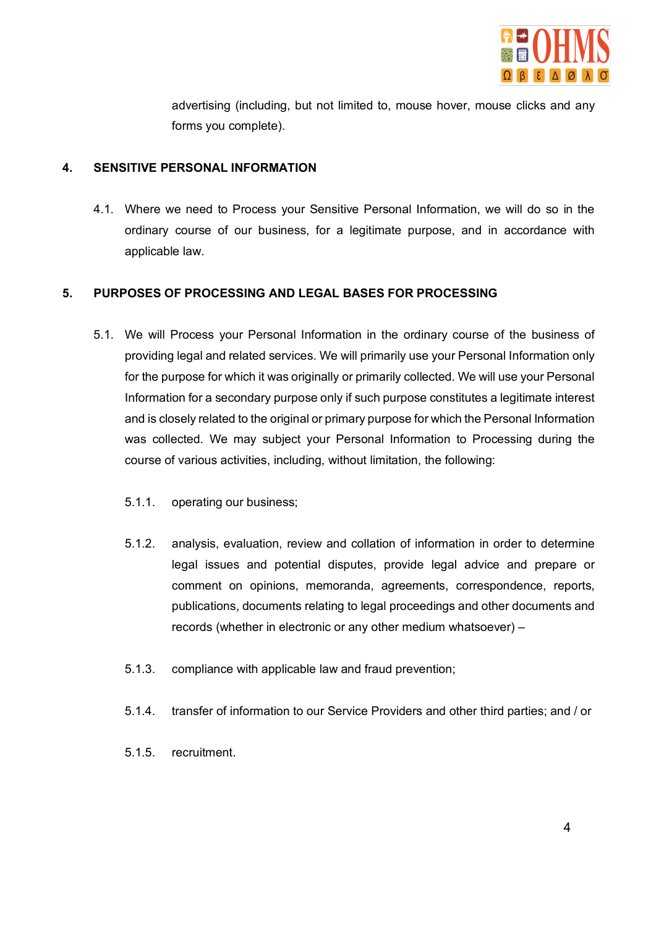

advertising (including, but not limited to, mouse hover, mouse clicks and any forms you complete).

## **4. SENSITIVE PERSONAL INFORMATION**

4.1. Where we need to Process your Sensitive Personal Information, we will do so in the ordinary course of our business, for a legitimate purpose, and in accordance with applicable law.

## **5. PURPOSES OF PROCESSING AND LEGAL BASES FOR PROCESSING**

- 5.1. We will Process your Personal Information in the ordinary course of the business of providing legal and related services. We will primarily use your Personal Information only for the purpose for which it was originally or primarily collected. We will use your Personal Information for a secondary purpose only if such purpose constitutes a legitimate interest and is closely related to the original or primary purpose for which the Personal Information was collected. We may subject your Personal Information to Processing during the course of various activities, including, without limitation, the following:
	- 5.1.1. operating our business;
	- 5.1.2. analysis, evaluation, review and collation of information in order to determine legal issues and potential disputes, provide legal advice and prepare or comment on opinions, memoranda, agreements, correspondence, reports, publications, documents relating to legal proceedings and other documents and records (whether in electronic or any other medium whatsoever) –
	- 5.1.3. compliance with applicable law and fraud prevention;
	- 5.1.4. transfer of information to our Service Providers and other third parties; and / or
	- 5.1.5. recruitment.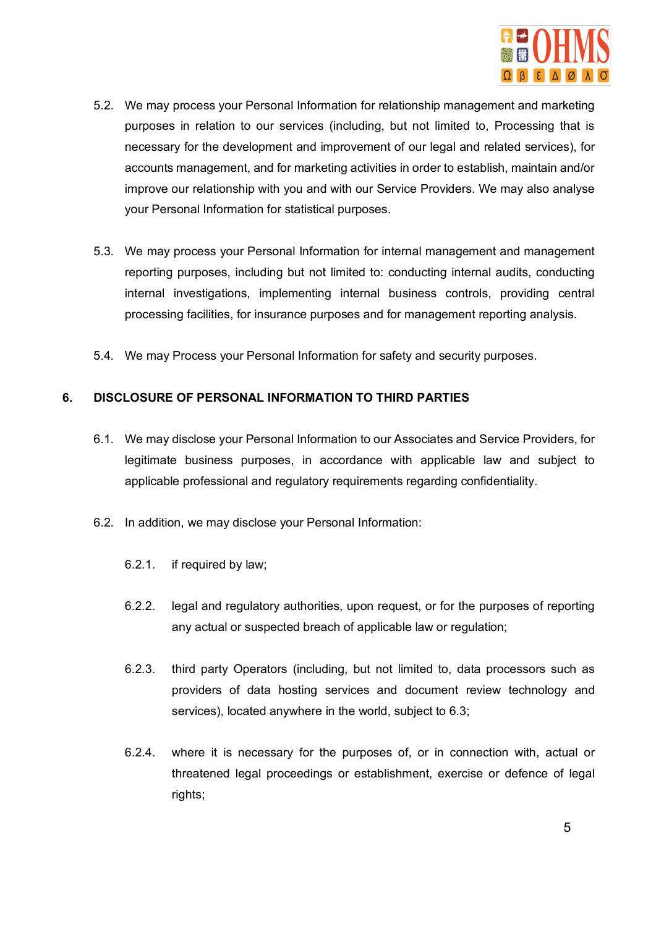

- 5.2. We may process your Personal Information for relationship management and marketing purposes in relation to our services (including, but not limited to, Processing that is necessary for the development and improvement of our legal and related services), for accounts management, and for marketing activities in order to establish, maintain and/or improve our relationship with you and with our Service Providers. We may also analyse your Personal Information for statistical purposes.
- 5.3. We may process your Personal Information for internal management and management reporting purposes, including but not limited to: conducting internal audits, conducting internal investigations, implementing internal business controls, providing central processing facilities, for insurance purposes and for management reporting analysis.
- 5.4. We may Process your Personal Information for safety and security purposes.

## **6. DISCLOSURE OF PERSONAL INFORMATION TO THIRD PARTIES**

- 6.1. We may disclose your Personal Information to our Associates and Service Providers, for legitimate business purposes, in accordance with applicable law and subject to applicable professional and regulatory requirements regarding confidentiality.
- 6.2. In addition, we may disclose your Personal Information:
	- 6.2.1. if required by law;
	- 6.2.2. legal and regulatory authorities, upon request, or for the purposes of reporting any actual or suspected breach of applicable law or regulation;
	- 6.2.3. third party Operators (including, but not limited to, data processors such as providers of data hosting services and document review technology and services), located anywhere in the world, subject to 6.3;
	- 6.2.4. where it is necessary for the purposes of, or in connection with, actual or threatened legal proceedings or establishment, exercise or defence of legal rights;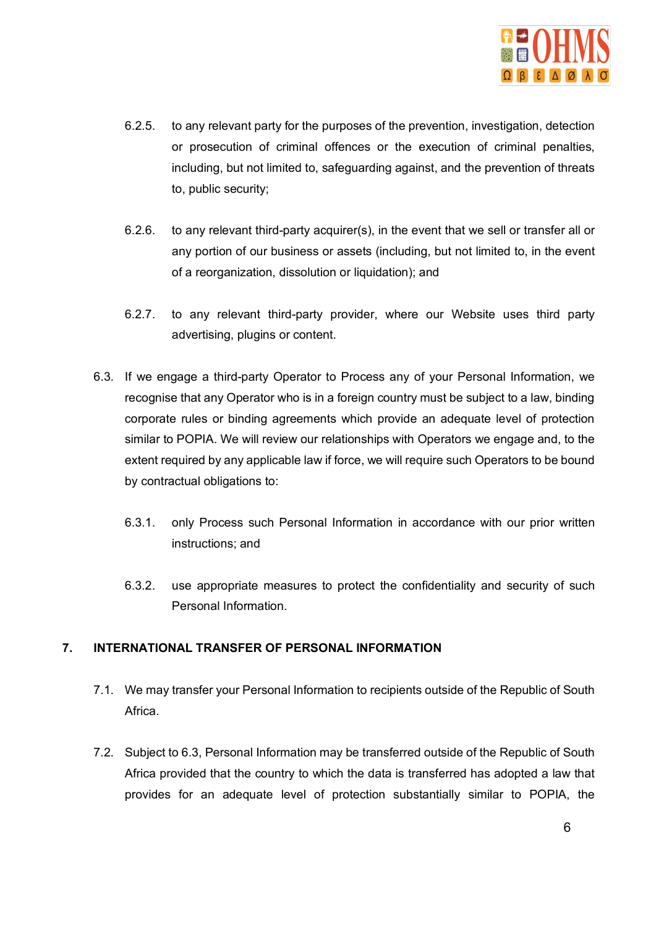

- 6.2.5. to any relevant party for the purposes of the prevention, investigation, detection or prosecution of criminal offences or the execution of criminal penalties, including, but not limited to, safeguarding against, and the prevention of threats to, public security;
- 6.2.6. to any relevant third-party acquirer(s), in the event that we sell or transfer all or any portion of our business or assets (including, but not limited to, in the event of a reorganization, dissolution or liquidation); and
- 6.2.7. to any relevant third-party provider, where our Website uses third party advertising, plugins or content.
- 6.3. If we engage a third-party Operator to Process any of your Personal Information, we recognise that any Operator who is in a foreign country must be subject to a law, binding corporate rules or binding agreements which provide an adequate level of protection similar to POPIA. We will review our relationships with Operators we engage and, to the extent required by any applicable law if force, we will require such Operators to be bound by contractual obligations to:
	- 6.3.1. only Process such Personal Information in accordance with our prior written instructions; and
	- 6.3.2. use appropriate measures to protect the confidentiality and security of such Personal Information.

# **7. INTERNATIONAL TRANSFER OF PERSONAL INFORMATION**

- 7.1. We may transfer your Personal Information to recipients outside of the Republic of South Africa.
- 7.2. Subject to 6.3, Personal Information may be transferred outside of the Republic of South Africa provided that the country to which the data is transferred has adopted a law that provides for an adequate level of protection substantially similar to POPIA, the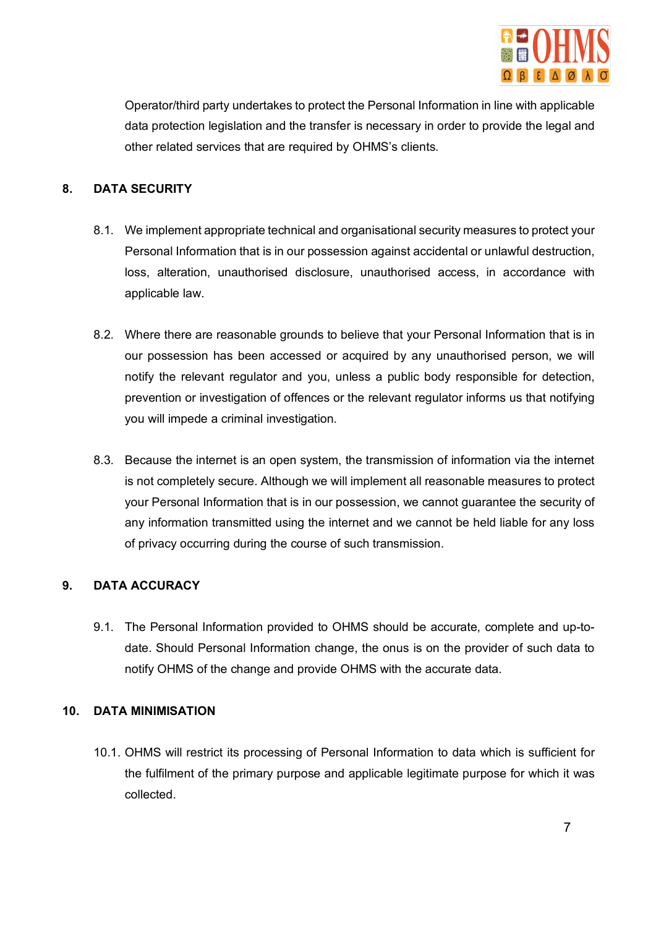

Operator/third party undertakes to protect the Personal Information in line with applicable data protection legislation and the transfer is necessary in order to provide the legal and other related services that are required by OHMS's clients.

# **8. DATA SECURITY**

- 8.1. We implement appropriate technical and organisational security measures to protect your Personal Information that is in our possession against accidental or unlawful destruction, loss, alteration, unauthorised disclosure, unauthorised access, in accordance with applicable law.
- 8.2. Where there are reasonable grounds to believe that your Personal Information that is in our possession has been accessed or acquired by any unauthorised person, we will notify the relevant regulator and you, unless a public body responsible for detection, prevention or investigation of offences or the relevant regulator informs us that notifying you will impede a criminal investigation.
- 8.3. Because the internet is an open system, the transmission of information via the internet is not completely secure. Although we will implement all reasonable measures to protect your Personal Information that is in our possession, we cannot guarantee the security of any information transmitted using the internet and we cannot be held liable for any loss of privacy occurring during the course of such transmission.

# **9. DATA ACCURACY**

9.1. The Personal Information provided to OHMS should be accurate, complete and up-todate. Should Personal Information change, the onus is on the provider of such data to notify OHMS of the change and provide OHMS with the accurate data.

#### **10. DATA MINIMISATION**

10.1. OHMS will restrict its processing of Personal Information to data which is sufficient for the fulfilment of the primary purpose and applicable legitimate purpose for which it was collected.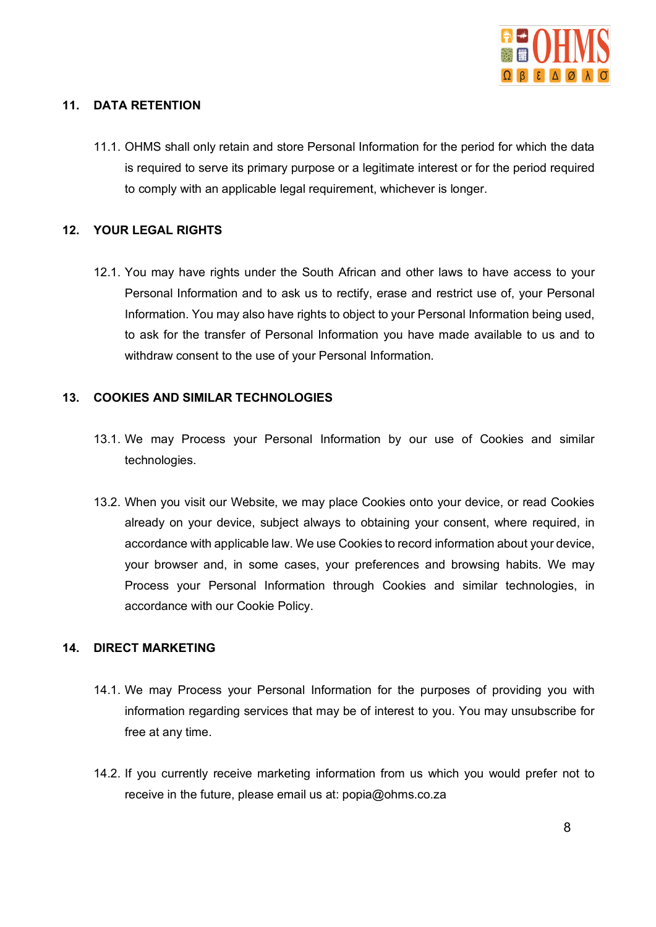

## **11. DATA RETENTION**

11.1. OHMS shall only retain and store Personal Information for the period for which the data is required to serve its primary purpose or a legitimate interest or for the period required to comply with an applicable legal requirement, whichever is longer.

## **12. YOUR LEGAL RIGHTS**

12.1. You may have rights under the South African and other laws to have access to your Personal Information and to ask us to rectify, erase and restrict use of, your Personal Information. You may also have rights to object to your Personal Information being used, to ask for the transfer of Personal Information you have made available to us and to withdraw consent to the use of your Personal Information.

## **13. COOKIES AND SIMILAR TECHNOLOGIES**

- 13.1. We may Process your Personal Information by our use of Cookies and similar technologies.
- 13.2. When you visit our Website, we may place Cookies onto your device, or read Cookies already on your device, subject always to obtaining your consent, where required, in accordance with applicable law. We use Cookies to record information about your device, your browser and, in some cases, your preferences and browsing habits. We may Process your Personal Information through Cookies and similar technologies, in accordance with our Cookie Policy.

# **14. DIRECT MARKETING**

- 14.1. We may Process your Personal Information for the purposes of providing you with information regarding services that may be of interest to you. You may unsubscribe for free at any time.
- 14.2. If you currently receive marketing information from us which you would prefer not to receive in the future, please email us at: popia@ohms.co.za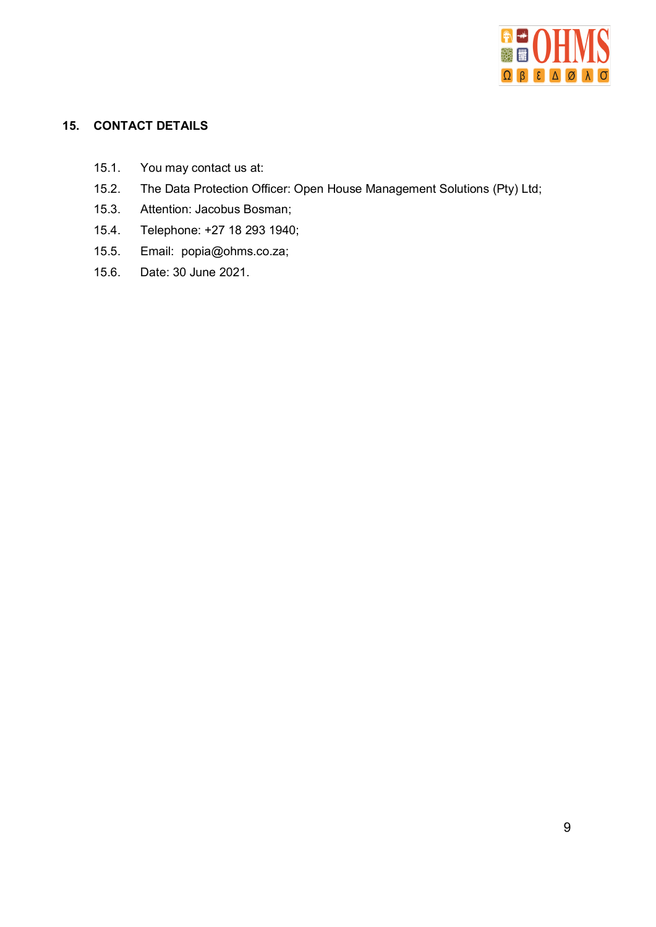

# **15. CONTACT DETAILS**

- 15.1. You may contact us at:
- 15.2. The Data Protection Officer: Open House Management Solutions (Pty) Ltd;
- 15.3. Attention: Jacobus Bosman;
- 15.4. Telephone: +27 18 293 1940;
- 15.5. Email: popia@ohms.co.za;
- 15.6. Date: 30 June 2021.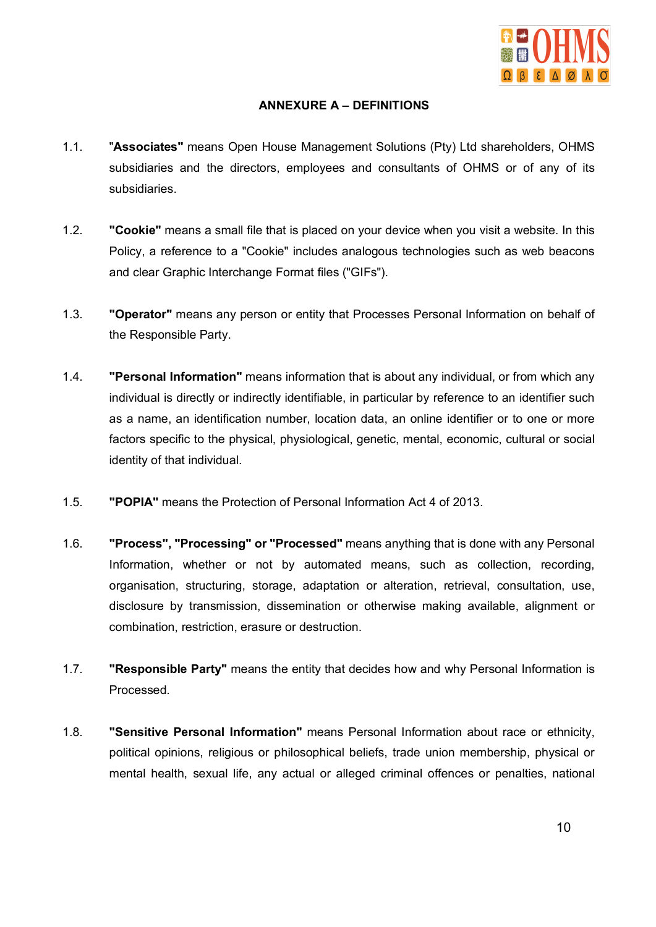

# **ANNEXURE A – DEFINITIONS**

- 1.1. "**Associates"** means Open House Management Solutions (Pty) Ltd shareholders, OHMS subsidiaries and the directors, employees and consultants of OHMS or of any of its subsidiaries.
- 1.2. **"Cookie"** means a small file that is placed on your device when you visit a website. In this Policy, a reference to a "Cookie" includes analogous technologies such as web beacons and clear Graphic Interchange Format files ("GIFs").
- 1.3. **"Operator"** means any person or entity that Processes Personal Information on behalf of the Responsible Party.
- 1.4. **"Personal Information"** means information that is about any individual, or from which any individual is directly or indirectly identifiable, in particular by reference to an identifier such as a name, an identification number, location data, an online identifier or to one or more factors specific to the physical, physiological, genetic, mental, economic, cultural or social identity of that individual.
- 1.5. **"POPIA"** means the Protection of Personal Information Act 4 of 2013.
- 1.6. **"Process", "Processing" or "Processed"** means anything that is done with any Personal Information, whether or not by automated means, such as collection, recording, organisation, structuring, storage, adaptation or alteration, retrieval, consultation, use, disclosure by transmission, dissemination or otherwise making available, alignment or combination, restriction, erasure or destruction.
- 1.7. **"Responsible Party"** means the entity that decides how and why Personal Information is Processed.
- 1.8. **"Sensitive Personal Information"** means Personal Information about race or ethnicity, political opinions, religious or philosophical beliefs, trade union membership, physical or mental health, sexual life, any actual or alleged criminal offences or penalties, national